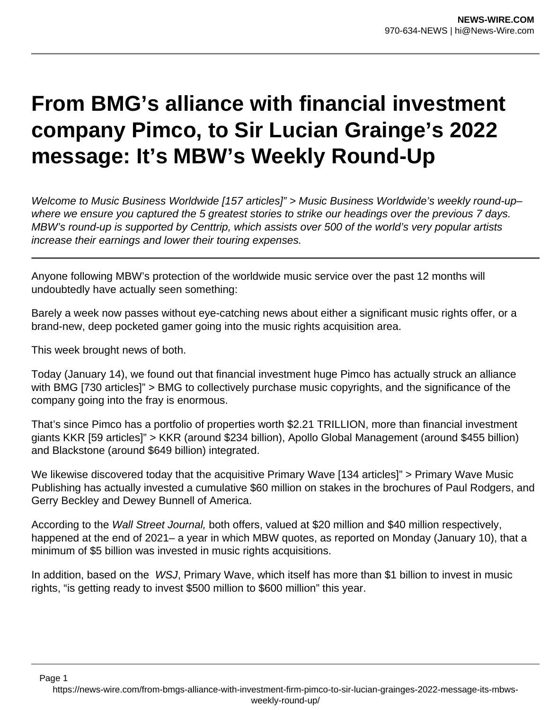## **From BMG's alliance with financial investment company Pimco, to Sir Lucian Grainge's 2022 message: It's MBW's Weekly Round-Up**

Welcome to Music Business Worldwide [157 articles]" > Music Business Worldwide's weekly round-up– where we ensure you captured the 5 greatest stories to strike our headings over the previous 7 days. MBW's round-up is supported by Centtrip, which assists over 500 of the world's very popular artists increase their earnings and lower their touring expenses.

Anyone following MBW's protection of the worldwide music service over the past 12 months will undoubtedly have actually seen something:

Barely a week now passes without eye-catching news about either a significant music rights offer, or a brand-new, deep pocketed gamer going into the music rights acquisition area.

This week brought news of both.

Today (January 14), we found out that financial investment huge Pimco has actually struck an alliance with BMG [730 articles]" > BMG to collectively purchase music copyrights, and the significance of the company going into the fray is enormous.

That's since Pimco has a portfolio of properties worth \$2.21 TRILLION, more than financial investment giants KKR [59 articles]" > KKR (around \$234 billion), Apollo Global Management (around \$455 billion) and Blackstone (around \$649 billion) integrated.

We likewise discovered today that the acquisitive Primary Wave [134 articles]" > Primary Wave Music Publishing has actually invested a cumulative \$60 million on stakes in the brochures of Paul Rodgers, and Gerry Beckley and Dewey Bunnell of America.

According to the Wall Street Journal, both offers, valued at \$20 million and \$40 million respectively, happened at the end of 2021– a year in which MBW quotes, as reported on Monday (January 10), that a minimum of \$5 billion was invested in music rights acquisitions.

In addition, based on the WSJ, Primary Wave, which itself has more than \$1 billion to invest in music rights, "is getting ready to invest \$500 million to \$600 million" this year.

https://news-wire.com/from-bmgs-alliance-with-investment-firm-pimco-to-sir-lucian-grainges-2022-message-its-mbwsweekly-round-up/

Page 1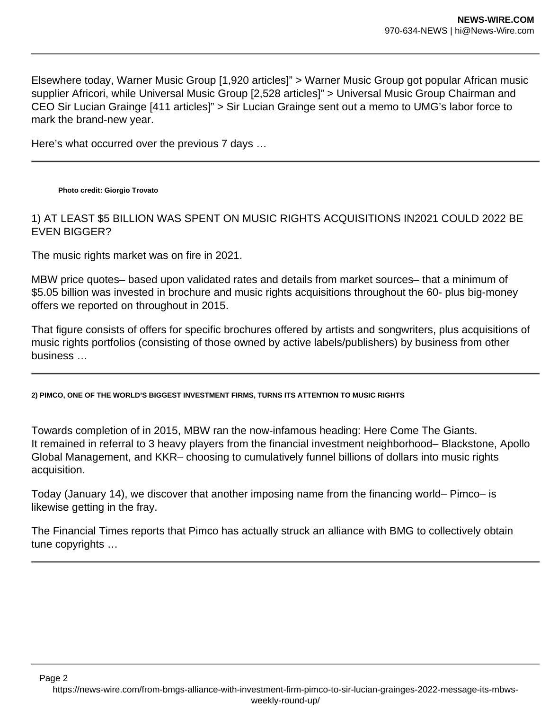Elsewhere today, Warner Music Group [1,920 articles]" > Warner Music Group got popular African music supplier Africori, while Universal Music Group [2,528 articles]" > Universal Music Group Chairman and CEO Sir Lucian Grainge [411 articles]" > Sir Lucian Grainge sent out a memo to UMG's labor force to mark the brand-new year.

Here's what occurred over the previous 7 days …

**Photo credit: Giorgio Trovato**

1) AT LEAST \$5 BILLION WAS SPENT ON MUSIC RIGHTS ACQUISITIONS IN2021 COULD 2022 BE EVEN BIGGER?

The music rights market was on fire in 2021.

MBW price quotes– based upon validated rates and details from market sources– that a minimum of \$5.05 billion was invested in brochure and music rights acquisitions throughout the 60- plus big-money offers we reported on throughout in 2015.

That figure consists of offers for specific brochures offered by artists and songwriters, plus acquisitions of music rights portfolios (consisting of those owned by active labels/publishers) by business from other business …

**2) PIMCO, ONE OF THE WORLD'S BIGGEST INVESTMENT FIRMS, TURNS ITS ATTENTION TO MUSIC RIGHTS**

Towards completion of in 2015, MBW ran the now-infamous heading: Here Come The Giants. It remained in referral to 3 heavy players from the financial investment neighborhood– Blackstone, Apollo Global Management, and KKR– choosing to cumulatively funnel billions of dollars into music rights acquisition.

Today (January 14), we discover that another imposing name from the financing world– Pimco– is likewise getting in the fray.

The Financial Times reports that Pimco has actually struck an alliance with BMG to collectively obtain tune copyrights …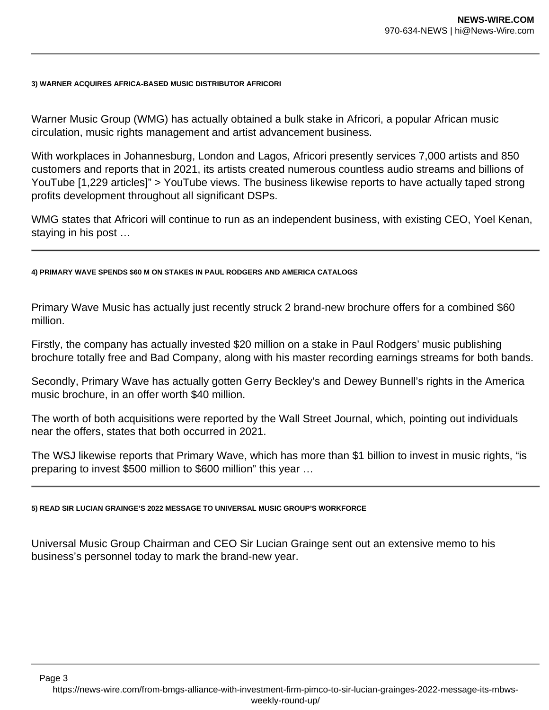## **3) WARNER ACQUIRES AFRICA-BASED MUSIC DISTRIBUTOR AFRICORI**

Warner Music Group (WMG) has actually obtained a bulk stake in Africori, a popular African music circulation, music rights management and artist advancement business.

With workplaces in Johannesburg, London and Lagos, Africori presently services 7,000 artists and 850 customers and reports that in 2021, its artists created numerous countless audio streams and billions of YouTube [1,229 articles]" > YouTube views. The business likewise reports to have actually taped strong profits development throughout all significant DSPs.

WMG states that Africori will continue to run as an independent business, with existing CEO, Yoel Kenan, staying in his post …

## **4) PRIMARY WAVE SPENDS \$60 M ON STAKES IN PAUL RODGERS AND AMERICA CATALOGS**

Primary Wave Music has actually just recently struck 2 brand-new brochure offers for a combined \$60 million.

Firstly, the company has actually invested \$20 million on a stake in Paul Rodgers' music publishing brochure totally free and Bad Company, along with his master recording earnings streams for both bands.

Secondly, Primary Wave has actually gotten Gerry Beckley's and Dewey Bunnell's rights in the America music brochure, in an offer worth \$40 million.

The worth of both acquisitions were reported by the Wall Street Journal, which, pointing out individuals near the offers, states that both occurred in 2021.

The WSJ likewise reports that Primary Wave, which has more than \$1 billion to invest in music rights, "is preparing to invest \$500 million to \$600 million" this year …

## **5) READ SIR LUCIAN GRAINGE'S 2022 MESSAGE TO UNIVERSAL MUSIC GROUP'S WORKFORCE**

Page 3

Universal Music Group Chairman and CEO Sir Lucian Grainge sent out an extensive memo to his business's personnel today to mark the brand-new year.